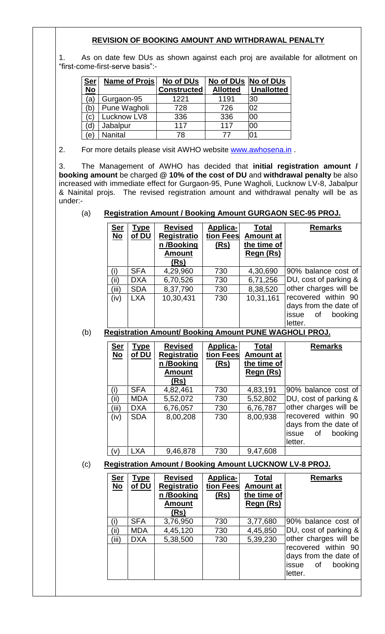## **REVISION OF BOOKING AMOUNT AND WITHDRAWAL PENALTY**

1. As on date few DUs as shown against each proj are available for allotment on "first-come-first-serve basis":-

| <u>Ser</u> | <b>Name of Projs</b> | No of DUs          | No of DUs No of DUs |                   |
|------------|----------------------|--------------------|---------------------|-------------------|
| <b>No</b>  |                      | <b>Constructed</b> | <b>Allotted</b>     | <b>Unallotted</b> |
| (a         | Gurgaon-95           | 1221               | 1191                | 30                |
| (b         | Pune Wagholi         | 728                | 726                 | 02                |
| (c)        | Lucknow LV8          | 336                | 336                 | 00                |
| (d)        | Jabalpur             | 117                | 117                 | 00                |
| $\epsilon$ | <b>Nanital</b>       | 78                 | 77                  | 01                |

2. For more details please visit AWHO website [www.awhosena.in](http://www.awhosena.in/).

3. The Management of AWHO has decided that **initial registration amount / booking amount** be charged **@ 10% of the cost of DU** and **withdrawal penalty** be also increased with immediate effect for Gurgaon-95, Pune Wagholi, Lucknow LV-8, Jabalpur & Nainital projs. The revised registration amount and withdrawal penalty will be as under:-

# (a) **Registration Amount / Booking Amount GURGAON SEC-95 PROJ.**

| <u>Ser</u><br>$\underline{\mathsf{No}}$ | <b>Type</b><br>of DU | <b>Revised</b><br><b>Registratio</b><br>n /Booking<br><b>Amount</b><br>(Rs) | Applica-<br>tion Fees<br>(Rs) | Total<br><b>Amount at</b><br>the time of<br><b>Regn (Rs)</b> | <b>Remarks</b>                                                                    |
|-----------------------------------------|----------------------|-----------------------------------------------------------------------------|-------------------------------|--------------------------------------------------------------|-----------------------------------------------------------------------------------|
| (i)                                     | <b>SFA</b>           | 4,29,960                                                                    | 730                           | 4,30,690                                                     | 90% balance cost of                                                               |
| (ii)                                    | <b>DXA</b>           | 6,70,526                                                                    | 730                           | 6,71,256                                                     | DU, cost of parking &                                                             |
| (iii)                                   | <b>SDA</b>           | 8,37,790                                                                    | 730                           | 8,38,520                                                     | other charges will be                                                             |
| (iv)                                    | <b>LXA</b>           | 10,30,431                                                                   | 730                           | 10,31,161                                                    | recovered within 90<br>days from the date of<br>issue<br>booking<br>0f<br>letter. |

### (b) **Registration Amount/ Booking Amount PUNE WAGHOLI PROJ.**

| <b>Ser</b><br><u>No</u> | <u>Type</u><br>of DU | <b>Revised</b><br><b>Registratio</b><br>n/Booking<br><b>Amount</b><br>(Rs) | Applica-<br>tion Fees<br><u>(Rs)</u> | Total<br><b>Amount at</b><br>the time of<br>Regn (Rs) | <b>Remarks</b>                                                                    |
|-------------------------|----------------------|----------------------------------------------------------------------------|--------------------------------------|-------------------------------------------------------|-----------------------------------------------------------------------------------|
| (i)                     | <b>SFA</b>           | 4,82,461                                                                   | 730                                  | 4,83,191                                              | 90% balance cost of                                                               |
| (ii)                    | <b>MDA</b>           | 5,52,072                                                                   | 730                                  | 5,52,802                                              | DU, cost of parking &                                                             |
| (iii)                   | <b>DXA</b>           | 6,76,057                                                                   | 730                                  | 6,76,787                                              | other charges will be                                                             |
| (iv)                    | <b>SDA</b>           | 8,00,208                                                                   | 730                                  | 8,00,938                                              | recovered within 90<br>days from the date of<br>booking<br>issue<br>οf<br>letter. |
| (v)                     | <b>LXA</b>           | 9,46,878                                                                   | 730                                  | 9,47,608                                              |                                                                                   |

## (c) **Registration Amount / Booking Amount LUCKNOW LV-8 PROJ.**

| <b>Ser</b><br><u>No</u> | <u>Type</u><br>of DU | <b>Revised</b><br><b>Registratio</b><br>n/Booking<br><b>Amount</b><br>(Rs) | Applica-<br>tion Fees<br>(Rs) | Total<br><b>Amount at</b><br>the time of<br><b>Regn (Rs)</b> | <b>Remarks</b>                                                                    |
|-------------------------|----------------------|----------------------------------------------------------------------------|-------------------------------|--------------------------------------------------------------|-----------------------------------------------------------------------------------|
| (i)                     | <b>SFA</b>           | 3,76,950                                                                   | 730                           | 3,77,680                                                     | 90% balance cost of                                                               |
| (ii)                    | <b>MDA</b>           | 4,45,120                                                                   | 730                           | 4,45,850                                                     | DU, cost of parking &                                                             |
| (iii)                   | <b>DXA</b>           | 5,38,500                                                                   | 730                           | 5,39,230                                                     | other charges will be                                                             |
|                         |                      |                                                                            |                               |                                                              | recovered within 90<br>days from the date of<br>booking<br>issue<br>0f<br>letter. |